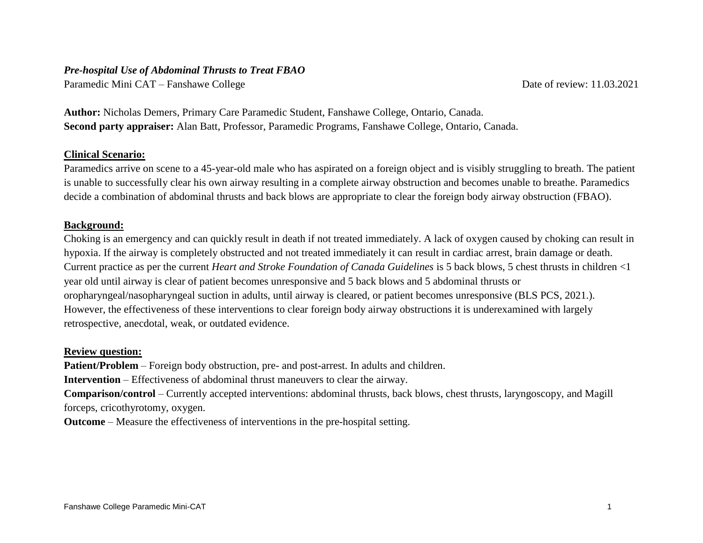### *Pre-hospital Use of Abdominal Thrusts to Treat FBAO*

Paramedic Mini CAT – Fanshawe College Date of review: 11.03.2021

**Author:** Nicholas Demers, Primary Care Paramedic Student, Fanshawe College, Ontario, Canada. **Second party appraiser:** Alan Batt, Professor, Paramedic Programs, Fanshawe College, Ontario, Canada.

## **Clinical Scenario:**

Paramedics arrive on scene to a 45-year-old male who has aspirated on a foreign object and is visibly struggling to breath. The patient is unable to successfully clear his own airway resulting in a complete airway obstruction and becomes unable to breathe. Paramedics decide a combination of abdominal thrusts and back blows are appropriate to clear the foreign body airway obstruction (FBAO).

### **Background:**

Choking is an emergency and can quickly result in death if not treated immediately. A lack of oxygen caused by choking can result in hypoxia. If the airway is completely obstructed and not treated immediately it can result in cardiac arrest, brain damage or death. Current practice as per the current *Heart and Stroke Foundation of Canada Guidelines* is 5 back blows, 5 chest thrusts in children <1 year old until airway is clear of patient becomes unresponsive and 5 back blows and 5 abdominal thrusts or oropharyngeal/nasopharyngeal suction in adults, until airway is cleared, or patient becomes unresponsive (BLS PCS, 2021.). However, the effectiveness of these interventions to clear foreign body airway obstructions it is underexamined with largely retrospective, anecdotal, weak, or outdated evidence.

# **Review question:**

**Patient/Problem** – Foreign body obstruction, pre- and post-arrest. In adults and children.

**Intervention** – Effectiveness of abdominal thrust maneuvers to clear the airway.

**Comparison/control** – Currently accepted interventions: abdominal thrusts, back blows, chest thrusts, laryngoscopy, and Magill forceps, cricothyrotomy, oxygen.

**Outcome** – Measure the effectiveness of interventions in the pre-hospital setting.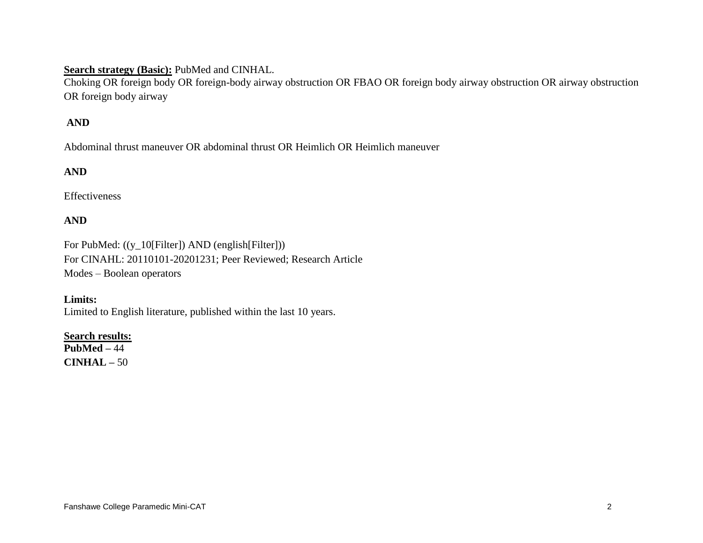## **Search strategy (Basic):** PubMed and CINHAL.

Choking OR foreign body OR foreign-body airway obstruction OR FBAO OR foreign body airway obstruction OR airway obstruction OR foreign body airway

# **AND**

Abdominal thrust maneuver OR abdominal thrust OR Heimlich OR Heimlich maneuver

# **AND**

Effectiveness

## **AND**

For PubMed: ((y\_10[Filter]) AND (english[Filter])) For CINAHL: 20110101-20201231; Peer Reviewed; Research Article Modes – Boolean operators

**Limits:** Limited to English literature, published within the last 10 years.

### **Search results:**

**PubMed –** 44 **CINHAL –** 50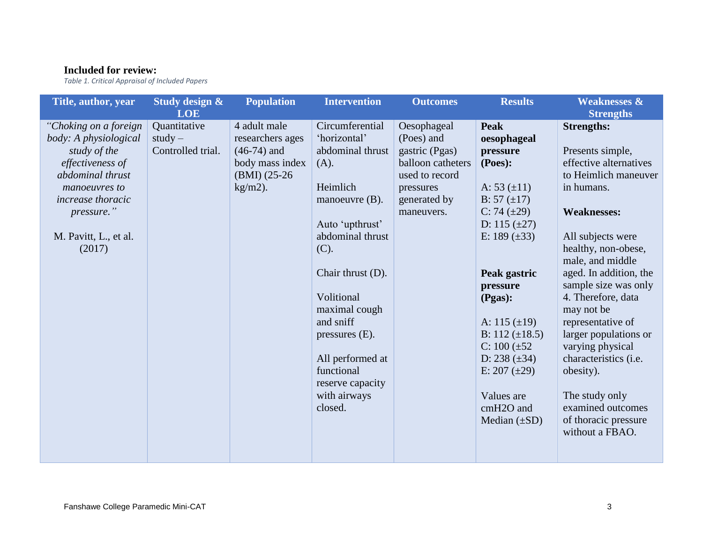# **Included for review:**

*Table 1. Critical Appraisal of Included Papers*

| Title, author, year                                                                                                                                                                                  | Study design &                                               | <b>Population</b>                                                                                     | <b>Intervention</b>                                                                                                                                                                                                                                                                                                | <b>Outcomes</b>                                                                                                               | <b>Results</b>                                                                                                                                                                                                                                                                                                                                                                   | <b>Weaknesses &amp;</b>                                                                                                                                                                                                                                                                                                                                                                                                                                                                         |
|------------------------------------------------------------------------------------------------------------------------------------------------------------------------------------------------------|--------------------------------------------------------------|-------------------------------------------------------------------------------------------------------|--------------------------------------------------------------------------------------------------------------------------------------------------------------------------------------------------------------------------------------------------------------------------------------------------------------------|-------------------------------------------------------------------------------------------------------------------------------|----------------------------------------------------------------------------------------------------------------------------------------------------------------------------------------------------------------------------------------------------------------------------------------------------------------------------------------------------------------------------------|-------------------------------------------------------------------------------------------------------------------------------------------------------------------------------------------------------------------------------------------------------------------------------------------------------------------------------------------------------------------------------------------------------------------------------------------------------------------------------------------------|
| "Choking on a foreign<br>body: A physiological<br>study of the<br>effectiveness of<br>abdominal thrust<br>manoeuvres to<br><i>increase thoracic</i><br>pressure."<br>M. Pavitt, L., et al.<br>(2017) | <b>LOE</b><br>Quantitative<br>$study -$<br>Controlled trial. | 4 adult male<br>researchers ages<br>$(46-74)$ and<br>body mass index<br>$(BMI)$ (25-26)<br>$kg/m2$ ). | Circumferential<br>'horizontal'<br>abdominal thrust<br>(A).<br>Heimlich<br>manoeuvre $(B)$ .<br>Auto 'upthrust'<br>abdominal thrust<br>(C).<br>Chair thrust (D).<br>Volitional<br>maximal cough<br>and sniff<br>pressures $(E)$ .<br>All performed at<br>functional<br>reserve capacity<br>with airways<br>closed. | Oesophageal<br>(Poes) and<br>gastric (Pgas)<br>balloon catheters<br>used to record<br>pressures<br>generated by<br>maneuvers. | <b>Peak</b><br>oesophageal<br>pressure<br>(Poes):<br>A: $53 \ (\pm 11)$<br>B: 57 $(\pm 17)$<br>C: 74 $(\pm 29)$<br>D: $115 \ (\pm 27)$<br>E: 189 $(\pm 33)$<br>Peak gastric<br>pressure<br>(Pgas):<br>A: $115 \ (\pm 19)$<br>B: $112 \ (\pm 18.5)$<br>C: $100 (\pm 52)$<br>D: $238 \ (\pm 34)$<br>E: $207 (\pm 29)$<br>Values are<br>cmH <sub>2</sub> O and<br>Median $(\pm SD)$ | <b>Strengths</b><br><b>Strengths:</b><br>Presents simple,<br>effective alternatives<br>to Heimlich maneuver<br>in humans.<br><b>Weaknesses:</b><br>All subjects were<br>healthy, non-obese,<br>male, and middle<br>aged. In addition, the<br>sample size was only<br>4. Therefore, data<br>may not be<br>representative of<br>larger populations or<br>varying physical<br>characteristics (i.e.<br>obesity).<br>The study only<br>examined outcomes<br>of thoracic pressure<br>without a FBAO. |
|                                                                                                                                                                                                      |                                                              |                                                                                                       |                                                                                                                                                                                                                                                                                                                    |                                                                                                                               |                                                                                                                                                                                                                                                                                                                                                                                  |                                                                                                                                                                                                                                                                                                                                                                                                                                                                                                 |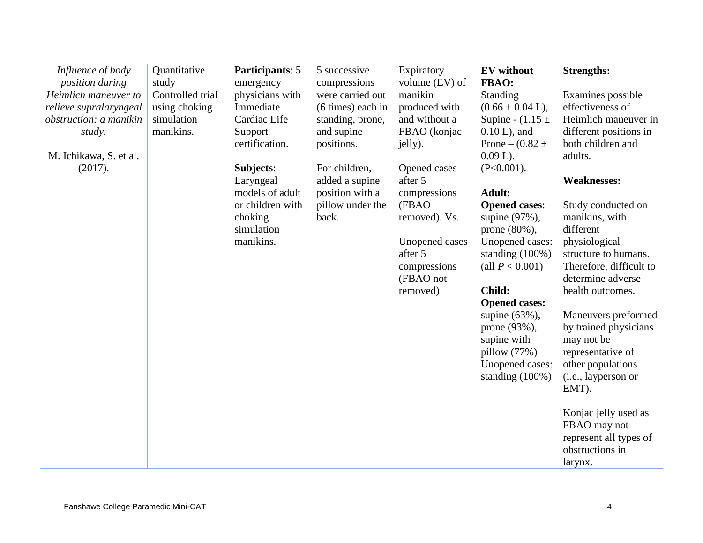| Influence of body      | Quantitative     | Participants: 5  | 5 successive      | Expiratory     | <b>EV</b> without            | <b>Strengths:</b>       |
|------------------------|------------------|------------------|-------------------|----------------|------------------------------|-------------------------|
| position during        | $study -$        | emergency        | compressions      | volume (EV) of | FBAO:                        |                         |
| Heimlich maneuver to   | Controlled trial | physicians with  | were carried out  | manikin        | Standing                     | Examines possible       |
| relieve supralaryngeal | using choking    | Immediate        | (6 times) each in | produced with  | $(0.66 \pm 0.04 \text{ L}),$ | effectiveness of        |
| obstruction: a manikin | simulation       | Cardiac Life     | standing, prone,  | and without a  | Supine - $(1.15 \pm$         | Heimlich maneuver in    |
| study.                 | manikins.        | Support          | and supine        | FBAO (konjac   | $0.10 L$ , and               | different positions in  |
|                        |                  | certification.   | positions.        | jelly).        | Prone – $(0.82 \pm$          | both children and       |
| M. Ichikawa, S. et al. |                  |                  |                   |                | $0.09 L$ ).                  | adults.                 |
| (2017).                |                  | Subjects:        | For children,     | Opened cases   | $(P<0.001)$ .                |                         |
|                        |                  | Laryngeal        | added a supine    | after 5        |                              | <b>Weaknesses:</b>      |
|                        |                  | models of adult  | position with a   | compressions   | <b>Adult:</b>                |                         |
|                        |                  | or children with | pillow under the  | (FBAO          | <b>Opened cases:</b>         | Study conducted on      |
|                        |                  | choking          | back.             | removed). Vs.  | supine (97%),                | manikins, with          |
|                        |                  | simulation       |                   |                | prone $(80\%)$ ,             | different               |
|                        |                  | manikins.        |                   | Unopened cases | Unopened cases:              | physiological           |
|                        |                  |                  |                   | after 5        | standing $(100\%)$           | structure to humans.    |
|                        |                  |                  |                   | compressions   | (all $P < 0.001$ )           | Therefore, difficult to |
|                        |                  |                  |                   | (FBAO not      |                              | determine adverse       |
|                        |                  |                  |                   | removed)       | Child:                       | health outcomes.        |
|                        |                  |                  |                   |                | <b>Opened cases:</b>         |                         |
|                        |                  |                  |                   |                | supine $(63\%)$ ,            | Maneuvers preformed     |
|                        |                  |                  |                   |                | prone (93%),                 | by trained physicians   |
|                        |                  |                  |                   |                | supine with                  | may not be              |
|                        |                  |                  |                   |                | pillow $(77%)$               | representative of       |
|                        |                  |                  |                   |                | Unopened cases:              | other populations       |
|                        |                  |                  |                   |                | standing $(100\%)$           | (i.e., layperson or     |
|                        |                  |                  |                   |                |                              | EMT).                   |
|                        |                  |                  |                   |                |                              |                         |
|                        |                  |                  |                   |                |                              | Konjac jelly used as    |
|                        |                  |                  |                   |                |                              | FBAO may not            |
|                        |                  |                  |                   |                |                              | represent all types of  |
|                        |                  |                  |                   |                |                              | obstructions in         |
|                        |                  |                  |                   |                |                              | larynx.                 |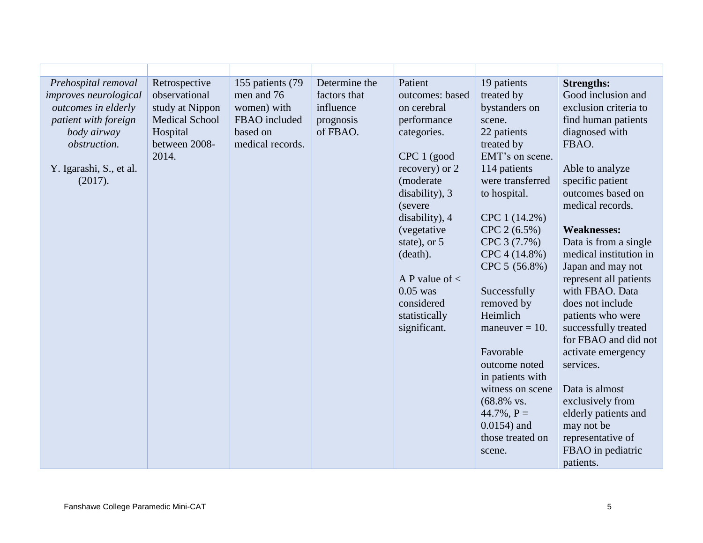| Prehospital removal<br><i>improves neurological</i><br>outcomes in elderly<br>patient with foreign<br>body airway<br>obstruction.<br>Y. Igarashi, S., et al.<br>(2017). | Retrospective<br>observational<br>study at Nippon<br><b>Medical School</b><br>Hospital<br>between 2008-<br>2014. | 155 patients (79<br>men and 76<br>women) with<br>FBAO included<br>based on<br>medical records. | Determine the<br>factors that<br>influence<br>prognosis<br>of FBAO. | Patient<br>outcomes: based<br>on cerebral<br>performance<br>categories.<br>CPC 1 (good<br>recovery) or 2<br>(moderate<br>disability), 3<br>(severe)<br>disability), 4<br>(vegetative<br>state), or 5<br>(death).<br>A P value of $\lt$<br>$0.05$ was<br>considered<br>statistically<br>significant. | 19 patients<br>treated by<br>bystanders on<br>scene.<br>22 patients<br>treated by<br>EMT's on scene.<br>114 patients<br>were transferred<br>to hospital.<br>CPC 1 (14.2%)<br>CPC 2 (6.5%)<br>CPC 3 (7.7%)<br>CPC 4 (14.8%)<br>CPC 5 (56.8%)<br>Successfully<br>removed by<br>Heimlich<br>maneuver $= 10$ .<br>Favorable<br>outcome noted<br>in patients with<br>witness on scene<br>$(68.8\%$ vs.<br>$44.7\%$ , P =<br>$0.0154$ ) and<br>those treated on<br>scene. | <b>Strengths:</b><br>Good inclusion and<br>exclusion criteria to<br>find human patients<br>diagnosed with<br>FBAO.<br>Able to analyze<br>specific patient<br>outcomes based on<br>medical records.<br><b>Weaknesses:</b><br>Data is from a single<br>medical institution in<br>Japan and may not<br>represent all patients<br>with FBAO. Data<br>does not include<br>patients who were<br>successfully treated<br>for FBAO and did not<br>activate emergency<br>services.<br>Data is almost<br>exclusively from<br>elderly patients and<br>may not be<br>representative of<br>FBAO in pediatric<br>patients. |
|-------------------------------------------------------------------------------------------------------------------------------------------------------------------------|------------------------------------------------------------------------------------------------------------------|------------------------------------------------------------------------------------------------|---------------------------------------------------------------------|-----------------------------------------------------------------------------------------------------------------------------------------------------------------------------------------------------------------------------------------------------------------------------------------------------|---------------------------------------------------------------------------------------------------------------------------------------------------------------------------------------------------------------------------------------------------------------------------------------------------------------------------------------------------------------------------------------------------------------------------------------------------------------------|--------------------------------------------------------------------------------------------------------------------------------------------------------------------------------------------------------------------------------------------------------------------------------------------------------------------------------------------------------------------------------------------------------------------------------------------------------------------------------------------------------------------------------------------------------------------------------------------------------------|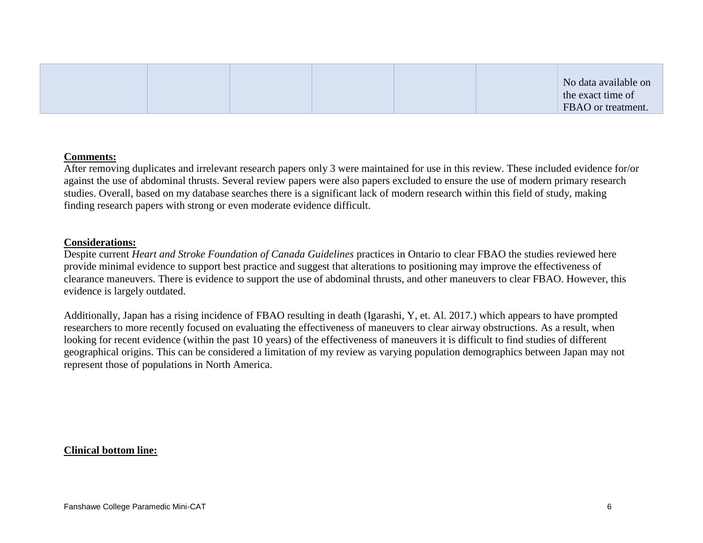|  |  |  |  | No data available on<br>the exact time of<br>FBAO or treatment. |
|--|--|--|--|-----------------------------------------------------------------|
|--|--|--|--|-----------------------------------------------------------------|

#### **Comments:**

After removing duplicates and irrelevant research papers only 3 were maintained for use in this review. These included evidence for/or against the use of abdominal thrusts. Several review papers were also papers excluded to ensure the use of modern primary research studies. Overall, based on my database searches there is a significant lack of modern research within this field of study, making finding research papers with strong or even moderate evidence difficult.

#### **Considerations:**

Despite current *Heart and Stroke Foundation of Canada Guidelines* practices in Ontario to clear FBAO the studies reviewed here provide minimal evidence to support best practice and suggest that alterations to positioning may improve the effectiveness of clearance maneuvers. There is evidence to support the use of abdominal thrusts, and other maneuvers to clear FBAO. However, this evidence is largely outdated.

Additionally, Japan has a rising incidence of FBAO resulting in death (Igarashi, Y, et. Al. 2017.) which appears to have prompted researchers to more recently focused on evaluating the effectiveness of maneuvers to clear airway obstructions. As a result, when looking for recent evidence (within the past 10 years) of the effectiveness of maneuvers it is difficult to find studies of different geographical origins. This can be considered a limitation of my review as varying population demographics between Japan may not represent those of populations in North America.

#### **Clinical bottom line:**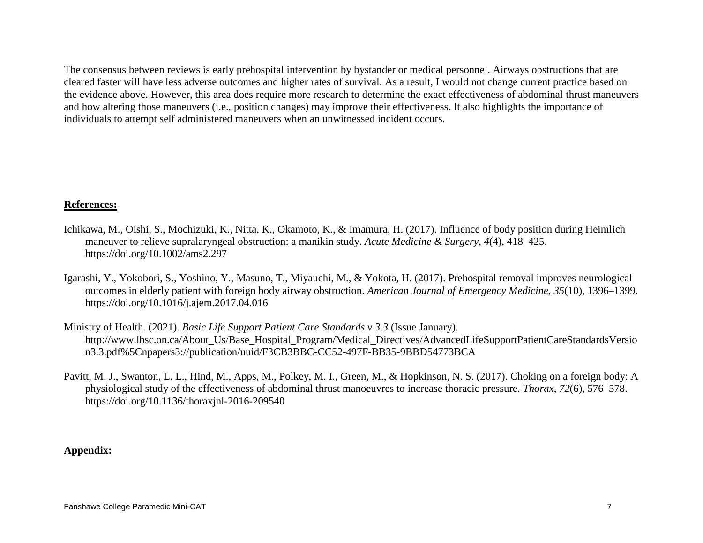The consensus between reviews is early prehospital intervention by bystander or medical personnel. Airways obstructions that are cleared faster will have less adverse outcomes and higher rates of survival. As a result, I would not change current practice based on the evidence above. However, this area does require more research to determine the exact effectiveness of abdominal thrust maneuvers and how altering those maneuvers (i.e., position changes) may improve their effectiveness. It also highlights the importance of individuals to attempt self administered maneuvers when an unwitnessed incident occurs.

### **References:**

- Ichikawa, M., Oishi, S., Mochizuki, K., Nitta, K., Okamoto, K., & Imamura, H. (2017). Influence of body position during Heimlich maneuver to relieve supralaryngeal obstruction: a manikin study. *Acute Medicine & Surgery*, *4*(4), 418–425. https://doi.org/10.1002/ams2.297
- Igarashi, Y., Yokobori, S., Yoshino, Y., Masuno, T., Miyauchi, M., & Yokota, H. (2017). Prehospital removal improves neurological outcomes in elderly patient with foreign body airway obstruction. *American Journal of Emergency Medicine*, *35*(10), 1396–1399. https://doi.org/10.1016/j.ajem.2017.04.016
- Ministry of Health. (2021). *Basic Life Support Patient Care Standards v 3.3* (Issue January). http://www.lhsc.on.ca/About\_Us/Base\_Hospital\_Program/Medical\_Directives/AdvancedLifeSupportPatientCareStandardsVersio n3.3.pdf%5Cnpapers3://publication/uuid/F3CB3BBC-CC52-497F-BB35-9BBD54773BCA
- Pavitt, M. J., Swanton, L. L., Hind, M., Apps, M., Polkey, M. I., Green, M., & Hopkinson, N. S. (2017). Choking on a foreign body: A physiological study of the effectiveness of abdominal thrust manoeuvres to increase thoracic pressure. *Thorax*, *72*(6), 576–578. https://doi.org/10.1136/thoraxjnl-2016-209540

### **Appendix:**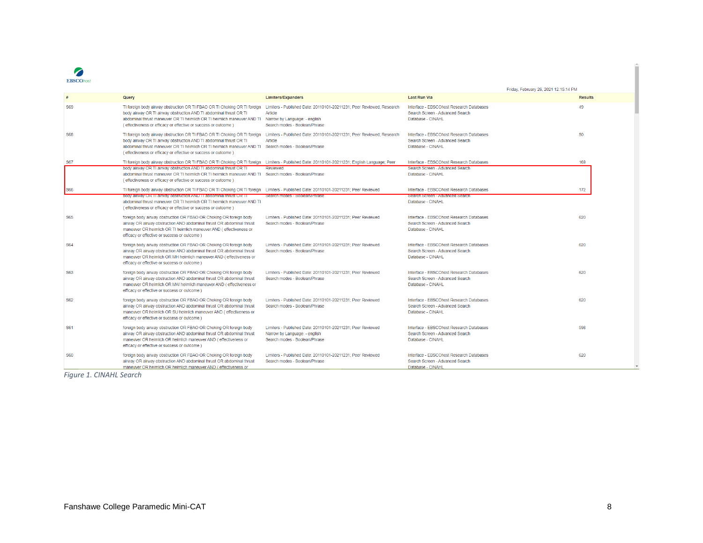

|            |                                                                                                                                                                                                                                                                                              |                                                                                                                                                           |                                                                                                  | Friday, February 26, 2021 12:15:14 PM |
|------------|----------------------------------------------------------------------------------------------------------------------------------------------------------------------------------------------------------------------------------------------------------------------------------------------|-----------------------------------------------------------------------------------------------------------------------------------------------------------|--------------------------------------------------------------------------------------------------|---------------------------------------|
|            | Query                                                                                                                                                                                                                                                                                        | <b>Limiters/Expanders</b>                                                                                                                                 | <b>Last Run Via</b>                                                                              | <b>Results</b>                        |
| S69        | TI foreign body airway obstruction OR TI FBAO OR TI Choking OR TI foreign<br>body airway OR TI airway obstruction AND TI abdominal thrust OR TI<br>abdominal thrust maneuver OR TI heimlich OR TI heimlich maneuver AND TI<br>(effectiveness or efficacy or effective or success or outcome) | Limiters - Published Date: 20110101-20211231: Peer Reviewed: Research<br><b>Article</b><br>Narrow by Language: - english<br>Search modes - Boolean/Phrase | Interface - EBSCOhost Research Databases<br>Search Screen - Advanced Search<br>Database - CINAHL | 49                                    |
| <b>S68</b> | TI foreign body airway obstruction OR TI FBAO OR TI Choking OR TI foreign<br>body airway OR TI airway obstruction AND TI abdominal thrust OR TI<br>abdominal thrust maneuver OR TI heimlich OR TI heimlich maneuver AND TI<br>(effectiveness or efficacy or effective or success or outcome) | Limiters - Published Date: 20110101-20211231: Peer Reviewed: Research<br>Article<br>Search modes - Boolean/Phrase                                         | Interface - FBSCOhost Research Databases<br>Search Screen - Advanced Search<br>Database - CINAHL | 50                                    |
| <b>S67</b> | TI foreign body airway obstruction OR TI FBAO OR TI Choking OR TI foreign                                                                                                                                                                                                                    | Limiters - Published Date: 20110101-20211231; English Language; Peer                                                                                      | Interface - EBSCOhost Research Databases                                                         | 169                                   |
|            | body airway OR TI airway obstruction AND TI abdominal thrust OR TI<br>abdominal thrust maneuver OR TI heimlich OR TI heimlich maneuver AND TI Search modes - Boolean/Phrase<br>(effectiveness or efficacy or effective or success or outcome)                                                | Reviewed                                                                                                                                                  | Search Screen - Advanced Search<br>Database - CINAHL                                             |                                       |
| <b>S66</b> | TI foreign body airway obstruction OR TI FBAO OR TI Choking OR TI foreign<br>body airway OR 11 airway obstruction AND 11 abdominal thrust OR 11<br>abdominal thrust maneuver OR TI heimlich OR TI heimlich maneuver AND TI<br>(effectiveness or efficacy or effective or success or outcome) | Limiters - Published Date: 20110101-20211231: Peer Reviewed<br>Search modes - Boolean/Phrase                                                              | Interface - EBSCOhost Research Databases<br>search screen - Advanced search<br>Database - CINAHL | 172                                   |
| <b>S65</b> | foreign body airway obstruction OR FBAO OR Choking OR foreign body<br>airway OR airway obstruction AND abdominal thrust OR abdominal thrust<br>maneuver OR heimlich OR TI heimlich maneuver AND (effectiveness or<br>efficacy or effective or success or outcome )                           | Limiters - Published Date: 20110101-20211231; Peer Reviewed<br>Search modes - Boolean/Phrase                                                              | Interface - EBSCOhost Research Databases<br>Search Screen - Advanced Search<br>Database - CINAHL | 620                                   |
| <b>S64</b> | foreign body airway obstruction OR FBAO OR Choking OR foreign body<br>airway OR airway obstruction AND abdominal thrust OR abdominal thrust<br>maneuver OR heimlich OR MH heimlich maneuver AND (effectiveness or<br>efficacy or effective or success or outcome )                           | Limiters - Published Date: 20110101-20211231: Peer Reviewed<br>Search modes - Boolean/Phrase                                                              | Interface - EBSCOhost Research Databases<br>Search Screen - Advanced Search<br>Database - CINAHL | 620                                   |
| <b>S63</b> | foreign body airway obstruction OR FBAO OR Choking OR foreign body<br>airway OR airway obstruction AND abdominal thrust OR abdominal thrust<br>maneuver OR heimlich OR MW heimlich maneuver AND (effectiveness or<br>efficacy or effective or success or outcome )                           | Limiters - Published Date: 20110101-20211231: Peer Reviewed<br>Search modes - Boolean/Phrase                                                              | Interface - EBSCOhost Research Databases<br>Search Screen - Advanced Search<br>Database - CINAHL | 620                                   |
| <b>S62</b> | foreign body airway obstruction OR FBAO OR Choking OR foreign body<br>airway OR airway obstruction AND abdominal thrust OR abdominal thrust<br>maneuver OR heimlich OR SU heimlich maneuver AND (effectiveness or<br>efficacy or effective or success or outcome )                           | Limiters - Published Date: 20110101-20211231: Peer Reviewed<br>Search modes - Boolean/Phrase                                                              | Interface - EBSCOhost Research Databases<br>Search Screen - Advanced Search<br>Database - CINAHL | 620                                   |
| <b>S61</b> | foreign body airway obstruction OR FBAO OR Choking OR foreign body<br>airway OR airway obstruction AND abdominal thrust OR abdominal thrust<br>maneuver OR heimlich OR heimlich maneuver AND (effectiveness or<br>efficacy or effective or success or outcome)                               | Limiters - Published Date: 20110101-20211231: Peer Reviewed<br>Narrow by Language: - english<br>Search modes - Boolean/Phrase                             | Interface - EBSCOhost Research Databases<br>Search Screen - Advanced Search<br>Database - CINAHL | 598                                   |
| S60        | foreign body airway obstruction OR FBAO OR Choking OR foreign body<br>airway OR airway obstruction AND abdominal thrust OR abdominal thrust<br>maneuver OR heimlich OR heimlich maneuver AND (effectiveness or                                                                               | Limiters - Published Date: 20110101-20211231; Peer Reviewed<br>Search modes - Boolean/Phrase                                                              | Interface - EBSCOhost Research Databases<br>Search Screen - Advanced Search<br>Database - CINAHL | 620                                   |

*Figure 1. CINAHL Search*

í